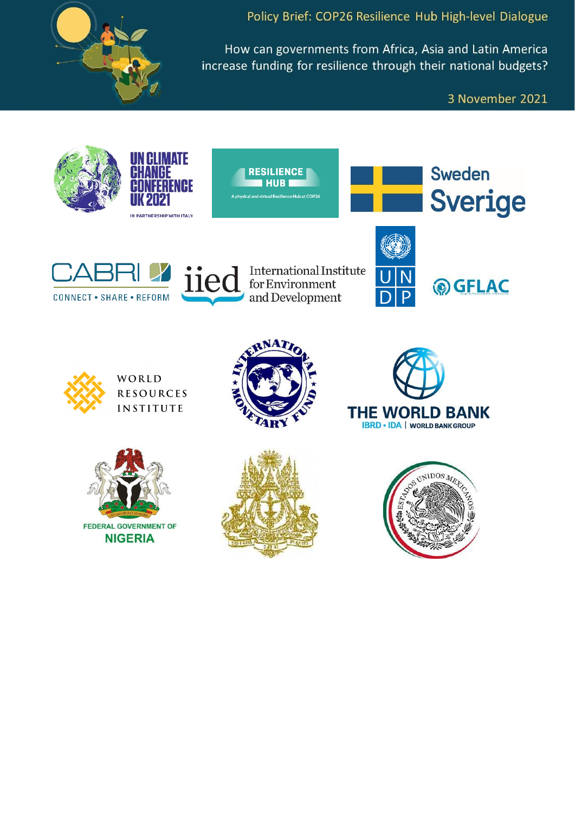

Policy Brief: COP26 Resilience Hub High-level Dialogue

How can governments from Africa, Asia and Latin America increase funding for resilience through their national budgets?

3 November 2021

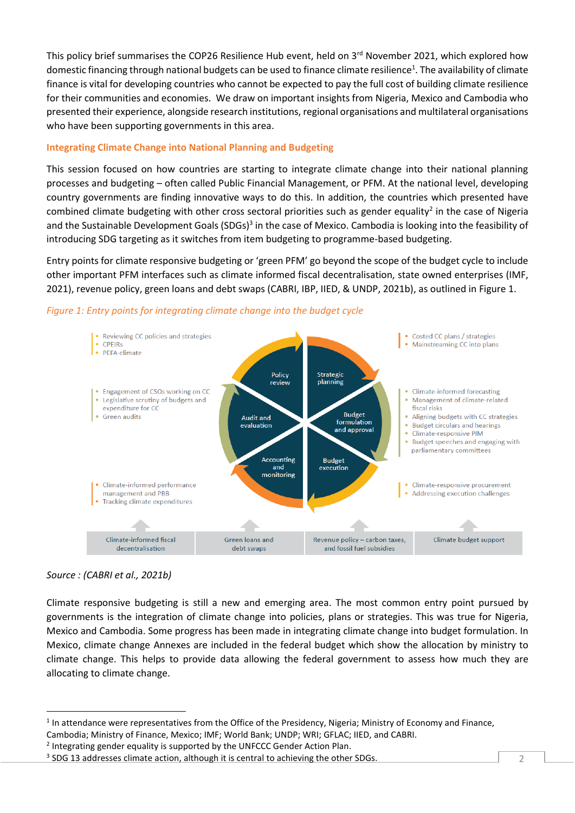This policy brief summarises the COP26 Resilience Hub event, held on 3<sup>rd</sup> November 2021, which explored how domestic financing through national budgets can be used to finance climate resilience<sup>1</sup>. The availability of climate finance is vital for developing countries who cannot be expected to pay the full cost of building climate resilience for their communities and economies. We draw on important insights from Nigeria, Mexico and Cambodia who presented their experience, alongside research institutions, regional organisations and multilateral organisations who have been supporting governments in this area.

# **Integrating Climate Change into National Planning and Budgeting**

This session focused on how countries are starting to integrate climate change into their national planning processes and budgeting – often called Public Financial Management, or PFM. At the national level, developing country governments are finding innovative ways to do this. In addition, the countries which presented have combined climate budgeting with other cross sectoral priorities such as gender equality<sup>2</sup> in the case of Nigeria and the Sustainable Development Goals (SDGs)<sup>3</sup> in the case of Mexico. Cambodia is looking into the feasibility of introducing SDG targeting as it switches from item budgeting to programme-based budgeting.

Entry points for climate responsive budgeting or 'green PFM' go beyond the scope of the budget cycle to include other important PFM interfaces such as climate informed fiscal decentralisation, state owned enterprises (IMF, 2021), revenue policy, green loans and debt swaps (CABRI, IBP, IIED, & UNDP, 2021b), as outlined in Figure 1.



## *Figure 1: Entry points for integrating climate change into the budget cycle*

## *Source : (CABRI et al., 2021b)*

Climate responsive budgeting is still a new and emerging area. The most common entry point pursued by governments is the integration of climate change into policies, plans or strategies. This was true for Nigeria, Mexico and Cambodia. Some progress has been made in integrating climate change into budget formulation. In Mexico, climate change Annexes are included in the federal budget which show the allocation by ministry to climate change. This helps to provide data allowing the federal government to assess how much they are allocating to climate change.

<sup>&</sup>lt;sup>1</sup> In attendance were representatives from the Office of the Presidency, Nigeria; Ministry of Economy and Finance, Cambodia; Ministry of Finance, Mexico; IMF; World Bank; UNDP; WRI; GFLAC; IIED, and CABRI.

<sup>&</sup>lt;sup>2</sup> Integrating gender equality is supported by the UNFCCC Gender Action Plan.

<sup>&</sup>lt;sup>3</sup> SDG 13 addresses climate action, although it is central to achieving the other SDGs.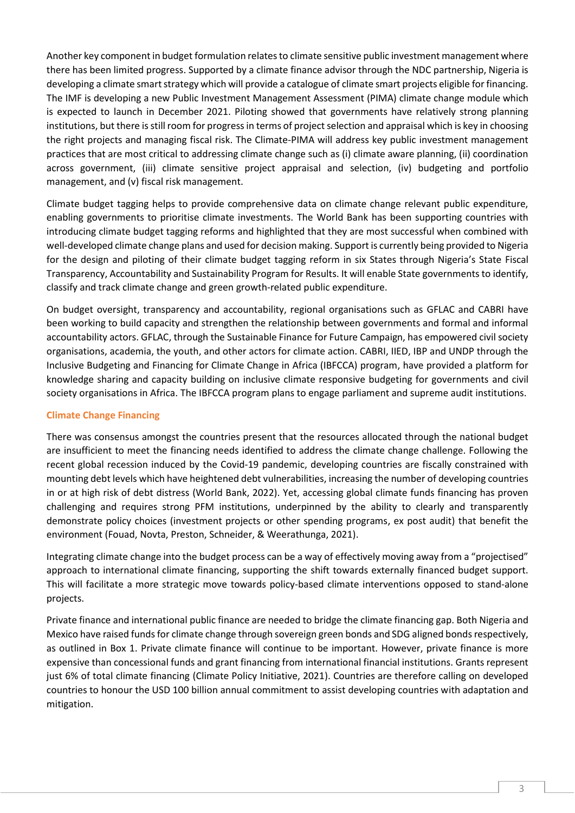Another key component in budget formulation relates to climate sensitive public investment management where there has been limited progress. Supported by a climate finance advisor through the NDC partnership, Nigeria is developing a climate smart strategy which will provide a catalogue of climate smart projects eligible for financing. The IMF is developing a new Public Investment Management Assessment (PIMA) climate change module which is expected to launch in December 2021. Piloting showed that governments have relatively strong planning institutions, but there is still room for progress in terms of project selection and appraisal which is key in choosing the right projects and managing fiscal risk. The Climate-PIMA will address key public investment management practices that are most critical to addressing climate change such as (i) climate aware planning, (ii) coordination across government, (iii) climate sensitive project appraisal and selection, (iv) budgeting and portfolio management, and (v) fiscal risk management.

Climate budget tagging helps to provide comprehensive data on climate change relevant public expenditure, enabling governments to prioritise climate investments. The World Bank has been supporting countries with introducing climate budget tagging reforms and highlighted that they are most successful when combined with well-developed climate change plans and used for decision making. Support is currently being provided to Nigeria for the design and piloting of their climate budget tagging reform in six States through Nigeria's State Fiscal Transparency, Accountability and Sustainability Program for Results. It will enable State governments to identify, classify and track climate change and green growth-related public expenditure.

On budget oversight, transparency and accountability, regional organisations such as GFLAC and CABRI have been working to build capacity and strengthen the relationship between governments and formal and informal accountability actors. GFLAC, through the Sustainable Finance for Future Campaign, has empowered civil society organisations, academia, the youth, and other actors for climate action. CABRI, IIED, IBP and UNDP through the Inclusive Budgeting and Financing for Climate Change in Africa (IBFCCA) program, have provided a platform for knowledge sharing and capacity building on inclusive climate responsive budgeting for governments and civil society organisations in Africa. The IBFCCA program plans to engage parliament and supreme audit institutions.

## **Climate Change Financing**

There was consensus amongst the countries present that the resources allocated through the national budget are insufficient to meet the financing needs identified to address the climate change challenge. Following the recent global recession induced by the Covid-19 pandemic, developing countries are fiscally constrained with mounting debt levels which have heightened debt vulnerabilities, increasing the number of developing countries in or at high risk of debt distress (World Bank, 2022). Yet, accessing global climate funds financing has proven challenging and requires strong PFM institutions, underpinned by the ability to clearly and transparently demonstrate policy choices (investment projects or other spending programs, ex post audit) that benefit the environment (Fouad, Novta, Preston, Schneider, & Weerathunga, 2021).

Integrating climate change into the budget process can be a way of effectively moving away from a "projectised" approach to international climate financing, supporting the shift towards externally financed budget support. This will facilitate a more strategic move towards policy-based climate interventions opposed to stand-alone projects.

Private finance and international public finance are needed to bridge the climate financing gap. Both Nigeria and Mexico have raised funds for climate change through sovereign green bonds and SDG aligned bonds respectively, as outlined in Box 1. Private climate finance will continue to be important. However, private finance is more expensive than concessional funds and grant financing from international financial institutions. Grants represent just 6% of total climate financing (Climate Policy Initiative, 2021). Countries are therefore calling on developed countries to honour the USD 100 billion annual commitment to assist developing countries with adaptation and mitigation.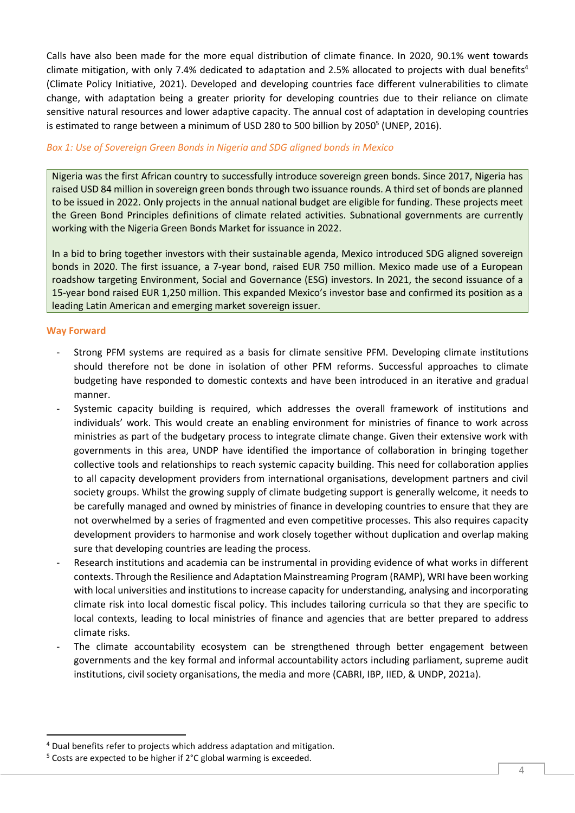Calls have also been made for the more equal distribution of climate finance. In 2020, 90.1% went towards climate mitigation, with only 7.4% dedicated to adaptation and 2.5% allocated to projects with dual benefits<sup>4</sup> (Climate Policy Initiative, 2021). Developed and developing countries face different vulnerabilities to climate change, with adaptation being a greater priority for developing countries due to their reliance on climate sensitive natural resources and lower adaptive capacity. The annual cost of adaptation in developing countries is estimated to range between a minimum of USD 280 to 500 billion by 2050<sup>5</sup> (UNEP, 2016).

## *Box 1: Use of Sovereign Green Bonds in Nigeria and SDG aligned bonds in Mexico*

Nigeria was the first African country to successfully introduce sovereign green bonds. Since 2017, Nigeria has raised USD 84 million in sovereign green bonds through two issuance rounds. A third set of bonds are planned to be issued in 2022. Only projects in the annual national budget are eligible for funding. These projects meet the Green Bond Principles definitions of climate related activities. Subnational governments are currently working with the Nigeria Green Bonds Market for issuance in 2022.

In a bid to bring together investors with their sustainable agenda, Mexico introduced SDG aligned sovereign bonds in 2020. The first issuance, a 7-year bond, raised EUR 750 million. Mexico made use of a European roadshow targeting Environment, Social and Governance (ESG) investors. In 2021, the second issuance of a 15-year bond raised EUR 1,250 million. This expanded Mexico's investor base and confirmed its position as a leading Latin American and emerging market sovereign issuer.

## **Way Forward**

- Strong PFM systems are required as a basis for climate sensitive PFM. Developing climate institutions should therefore not be done in isolation of other PFM reforms. Successful approaches to climate budgeting have responded to domestic contexts and have been introduced in an iterative and gradual manner.
- Systemic capacity building is required, which addresses the overall framework of institutions and individuals' work. This would create an enabling environment for ministries of finance to work across ministries as part of the budgetary process to integrate climate change. Given their extensive work with governments in this area, UNDP have identified the importance of collaboration in bringing together collective tools and relationships to reach systemic capacity building. This need for collaboration applies to all capacity development providers from international organisations, development partners and civil society groups. Whilst the growing supply of climate budgeting support is generally welcome, it needs to be carefully managed and owned by ministries of finance in developing countries to ensure that they are not overwhelmed by a series of fragmented and even competitive processes. This also requires capacity development providers to harmonise and work closely together without duplication and overlap making sure that developing countries are leading the process.
- Research institutions and academia can be instrumental in providing evidence of what works in different contexts. Through the Resilience and Adaptation Mainstreaming Program (RAMP), WRI have been working with local universities and institutions to increase capacity for understanding, analysing and incorporating climate risk into local domestic fiscal policy. This includes tailoring curricula so that they are specific to local contexts, leading to local ministries of finance and agencies that are better prepared to address climate risks.
- The climate accountability ecosystem can be strengthened through better engagement between governments and the key formal and informal accountability actors including parliament, supreme audit institutions, civil society organisations, the media and more (CABRI, IBP, IIED, & UNDP, 2021a).

<sup>4</sup> Dual benefits refer to projects which address adaptation and mitigation.

<sup>5</sup> Costs are expected to be higher if 2°C global warming is exceeded.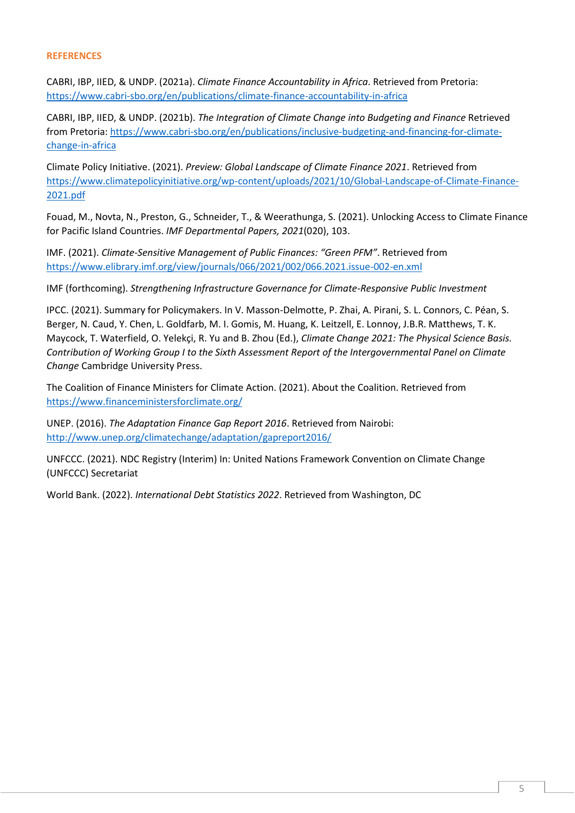#### **REFERENCES**

CABRI, IBP, IIED, & UNDP. (2021a). *Climate Finance Accountability in Africa*. Retrieved from Pretoria: [https://www.cabri-sbo.org/en/publications/climate-finance-accountability-in-africa](about:blank)

CABRI, IBP, IIED, & UNDP. (2021b). *The Integration of Climate Change into Budgeting and Finance* Retrieved from Pretoria: [https://www.cabri-sbo.org/en/publications/inclusive-budgeting-and-financing-for-climate](about:blank)[change-in-africa](about:blank)

Climate Policy Initiative. (2021). *Preview: Global Landscape of Climate Finance 2021*. Retrieved from [https://www.climatepolicyinitiative.org/wp-content/uploads/2021/10/Global-Landscape-of-Climate-Finance-](about:blank)[2021.pdf](about:blank)

Fouad, M., Novta, N., Preston, G., Schneider, T., & Weerathunga, S. (2021). Unlocking Access to Climate Finance for Pacific Island Countries. *IMF Departmental Papers, 2021*(020), 103.

IMF. (2021). *Climate-Sensitive Management of Public Finances: "Green PFM"*. Retrieved from [https://www.elibrary.imf.org/view/journals/066/2021/002/066.2021.issue-002-en.xml](about:blank)

IMF (forthcoming). *Strengthening Infrastructure Governance for Climate-Responsive Public Investment*

IPCC. (2021). Summary for Policymakers. In V. Masson-Delmotte, P. Zhai, A. Pirani, S. L. Connors, C. Péan, S. Berger, N. Caud, Y. Chen, L. Goldfarb, M. I. Gomis, M. Huang, K. Leitzell, E. Lonnoy, J.B.R. Matthews, T. K. Maycock, T. Waterfield, O. Yelekçi, R. Yu and B. Zhou (Ed.), *Climate Change 2021: The Physical Science Basis. Contribution of Working Group I to the Sixth Assessment Report of the Intergovernmental Panel on Climate Change* Cambridge University Press.

The Coalition of Finance Ministers for Climate Action. (2021). About the Coalition. Retrieved from [https://www.financeministersforclimate.org/](about:blank)

UNEP. (2016). *The Adaptation Finance Gap Report 2016*. Retrieved from Nairobi: [http://www.unep.org/climatechange/adaptation/gapreport2016/](about:blank)

UNFCCC. (2021). NDC Registry (Interim) In: United Nations Framework Convention on Climate Change (UNFCCC) Secretariat

World Bank. (2022). *International Debt Statistics 2022*. Retrieved from Washington, DC